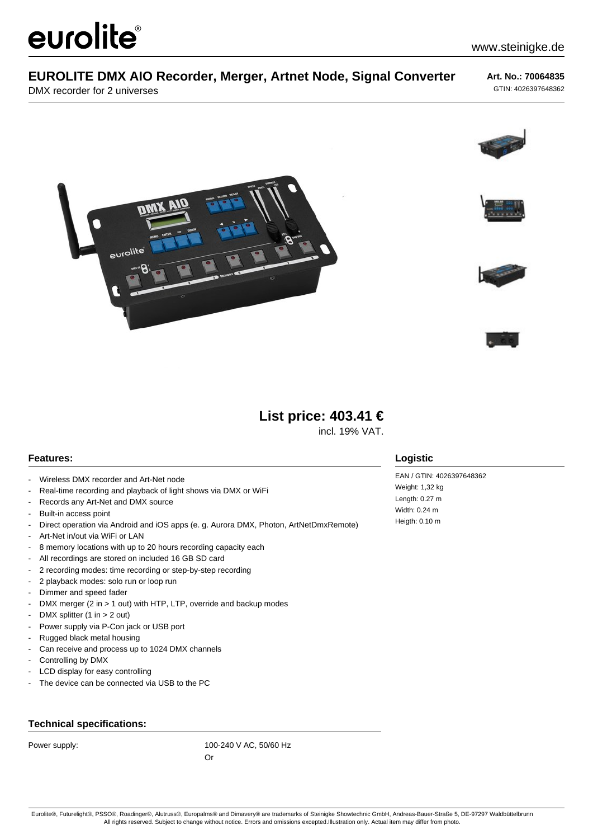# eurolite®

## **EUROLITE DMX AIO Recorder, Merger, Artnet Node, Signal Converter**

DMX recorder for 2 universes

**Art. No.: 70064835** GTIN: 4026397648362











incl. 19% VAT.

#### **Features:**

- Wireless DMX recorder and Art-Net node
- Real-time recording and playback of light shows via DMX or WiFi
- Records any Art-Net and DMX source
- Built-in access point
- Direct operation via Android and iOS apps (e. g. Aurora DMX, Photon, ArtNetDmxRemote)
- Art-Net in/out via WiFi or LAN
- 8 memory locations with up to 20 hours recording capacity each
- All recordings are stored on included 16 GB SD card

eurolite

- 2 recording modes: time recording or step-by-step recording
- 2 playback modes: solo run or loop run
- Dimmer and speed fader
- DMX merger (2 in > 1 out) with HTP, LTP, override and backup modes
- DMX splitter (1 in  $>$  2 out)
- Power supply via P-Con jack or USB port
- Rugged black metal housing
- Can receive and process up to 1024 DMX channels
- Controlling by DMX
- LCD display for easy controlling
- The device can be connected via USB to the PC

### **Technical specifications:**

Power supply: 100-240 V AC, 50/60 Hz

Or

#### **Logistic**

EAN / GTIN: 4026397648362 Weight: 1,32 kg Length: 0.27 m Width: 0.24 m Heigth: 0.10 m

Eurolite®, Futurelight®, PSSO®, Roadinger®, Alutruss®, Europalms® and Dimavery® are trademarks of Steinigke Showtechnic GmbH, Andreas-Bauer-Straße 5, DE-97297 Waldbüttelbrunn All rights reserved. Subject to change without notice. Errors and omissions excepted.Illustration only. Actual item may differ from photo.